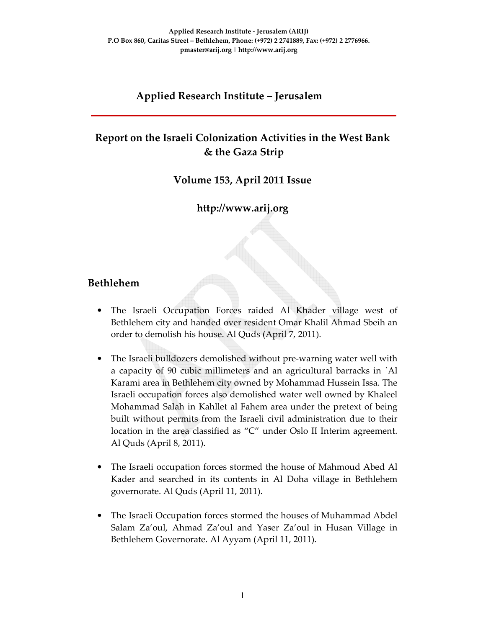### **Applied Research Institute – Jerusalem**

# **Report on the Israeli Colonization Activities in the West Bank & the Gaza Strip**

**Volume 153, April 2011 Issue** 

# **http://www.arij.org**

### **Bethlehem**

- The Israeli Occupation Forces raided Al Khader village west of Bethlehem city and handed over resident Omar Khalil Ahmad Sbeih an order to demolish his house. Al Quds (April 7, 2011).
- The Israeli bulldozers demolished without pre-warning water well with a capacity of 90 cubic millimeters and an agricultural barracks in `Al Karami area in Bethlehem city owned by Mohammad Hussein Issa. The Israeli occupation forces also demolished water well owned by Khaleel Mohammad Salah in Kahllet al Fahem area under the pretext of being built without permits from the Israeli civil administration due to their location in the area classified as "C" under Oslo II Interim agreement. Al Quds (April 8, 2011).
- The Israeli occupation forces stormed the house of Mahmoud Abed Al Kader and searched in its contents in Al Doha village in Bethlehem governorate. Al Quds (April 11, 2011).
- The Israeli Occupation forces stormed the houses of Muhammad Abdel Salam Za'oul, Ahmad Za'oul and Yaser Za'oul in Husan Village in Bethlehem Governorate. Al Ayyam (April 11, 2011).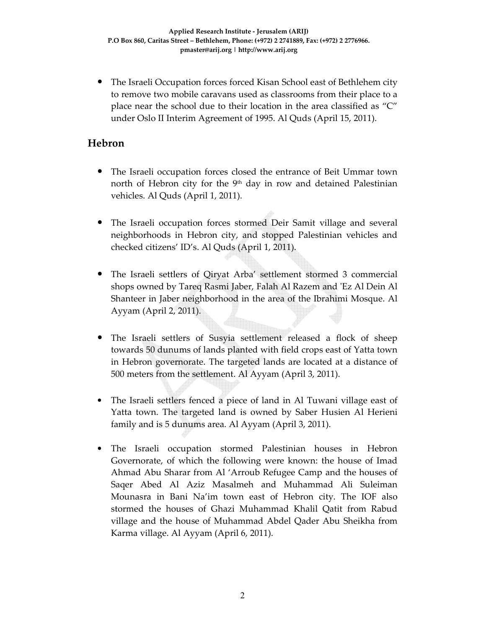• The Israeli Occupation forces forced Kisan School east of Bethlehem city to remove two mobile caravans used as classrooms from their place to a place near the school due to their location in the area classified as "C" under Oslo II Interim Agreement of 1995. Al Quds (April 15, 2011).

# **Hebron**

- The Israeli occupation forces closed the entrance of Beit Ummar town north of Hebron city for the 9<sup>th</sup> day in row and detained Palestinian vehicles. Al Quds (April 1, 2011).
- The Israeli occupation forces stormed Deir Samit village and several neighborhoods in Hebron city, and stopped Palestinian vehicles and checked citizens' ID's. Al Quds (April 1, 2011).
- The Israeli settlers of Qiryat Arba' settlement stormed 3 commercial shops owned by Tareq Rasmi Jaber, Falah Al Razem and 'Ez Al Dein Al Shanteer in Jaber neighborhood in the area of the Ibrahimi Mosque. Al Ayyam (April 2, 2011).
- The Israeli settlers of Susyia settlement released a flock of sheep towards 50 dunums of lands planted with field crops east of Yatta town in Hebron governorate. The targeted lands are located at a distance of 500 meters from the settlement. Al Ayyam (April 3, 2011).
- The Israeli settlers fenced a piece of land in Al Tuwani village east of Yatta town. The targeted land is owned by Saber Husien Al Herieni family and is 5 dunums area. Al Ayyam (April 3, 2011).
- The Israeli occupation stormed Palestinian houses in Hebron Governorate, of which the following were known: the house of Imad Ahmad Abu Sharar from Al 'Arroub Refugee Camp and the houses of Saqer Abed Al Aziz Masalmeh and Muhammad Ali Suleiman Mounasra in Bani Na'im town east of Hebron city. The IOF also stormed the houses of Ghazi Muhammad Khalil Qatit from Rabud village and the house of Muhammad Abdel Qader Abu Sheikha from Karma village. Al Ayyam (April 6, 2011).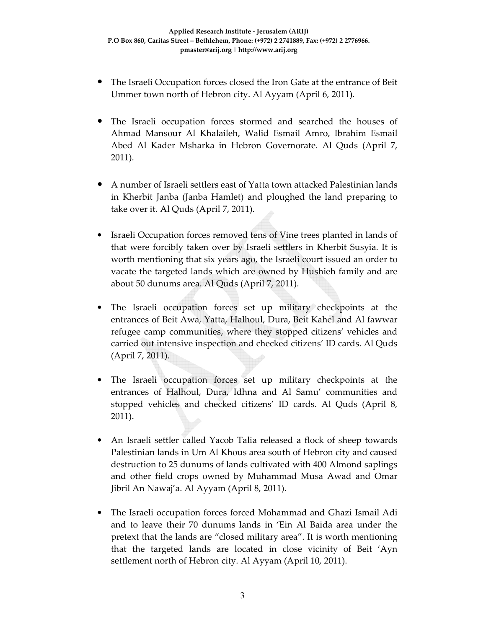- The Israeli Occupation forces closed the Iron Gate at the entrance of Beit Ummer town north of Hebron city. Al Ayyam (April 6, 2011).
- The Israeli occupation forces stormed and searched the houses of Ahmad Mansour Al Khalaileh, Walid Esmail Amro, Ibrahim Esmail Abed Al Kader Msharka in Hebron Governorate. Al Quds (April 7, 2011).
- A number of Israeli settlers east of Yatta town attacked Palestinian lands in Kherbit Janba (Janba Hamlet) and ploughed the land preparing to take over it. Al Quds (April 7, 2011).
- Israeli Occupation forces removed tens of Vine trees planted in lands of that were forcibly taken over by Israeli settlers in Kherbit Susyia. It is worth mentioning that six years ago, the Israeli court issued an order to vacate the targeted lands which are owned by Hushieh family and are about 50 dunums area. Al Quds (April 7, 2011).
- The Israeli occupation forces set up military checkpoints at the entrances of Beit Awa, Yatta, Halhoul, Dura, Beit Kahel and Al fawwar refugee camp communities, where they stopped citizens' vehicles and carried out intensive inspection and checked citizens' ID cards. Al Quds (April 7, 2011).
- The Israeli occupation forces set up military checkpoints at the entrances of Halhoul, Dura, Idhna and Al Samu' communities and stopped vehicles and checked citizens' ID cards. Al Quds (April 8, 2011).
- An Israeli settler called Yacob Talia released a flock of sheep towards Palestinian lands in Um Al Khous area south of Hebron city and caused destruction to 25 dunums of lands cultivated with 400 Almond saplings and other field crops owned by Muhammad Musa Awad and Omar Jibril An Nawaj'a. Al Ayyam (April 8, 2011).
- The Israeli occupation forces forced Mohammad and Ghazi Ismail Adi and to leave their 70 dunums lands in 'Ein Al Baida area under the pretext that the lands are "closed military area". It is worth mentioning that the targeted lands are located in close vicinity of Beit 'Ayn settlement north of Hebron city. Al Ayyam (April 10, 2011).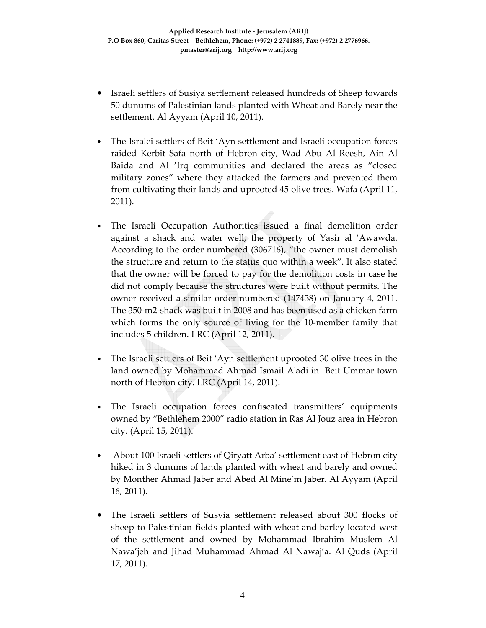- Israeli settlers of Susiya settlement released hundreds of Sheep towards 50 dunums of Palestinian lands planted with Wheat and Barely near the settlement. Al Ayyam (April 10, 2011).
- The Isralei settlers of Beit 'Ayn settlement and Israeli occupation forces raided Kerbit Safa north of Hebron city, Wad Abu Al Reesh, Ain Al Baida and Al 'Irq communities and declared the areas as "closed military zones" where they attacked the farmers and prevented them from cultivating their lands and uprooted 45 olive trees. Wafa (April 11, 2011).
- The Israeli Occupation Authorities issued a final demolition order against a shack and water well, the property of Yasir al 'Awawda. According to the order numbered (306716), "the owner must demolish the structure and return to the status quo within a week". It also stated that the owner will be forced to pay for the demolition costs in case he did not comply because the structures were built without permits. The owner received a similar order numbered (147438) on January 4, 2011. The 350-m2-shack was built in 2008 and has been used as a chicken farm which forms the only source of living for the 10-member family that includes 5 children. LRC (April 12, 2011).
- The Israeli settlers of Beit 'Ayn settlement uprooted 30 olive trees in the land owned by Mohammad Ahmad Ismail A'adi in Beit Ummar town north of Hebron city. LRC (April 14, 2011).
- The Israeli occupation forces confiscated transmitters' equipments owned by "Bethlehem 2000" radio station in Ras Al Jouz area in Hebron city. (April 15, 2011).
- About 100 Israeli settlers of Qiryatt Arba' settlement east of Hebron city hiked in 3 dunums of lands planted with wheat and barely and owned by Monther Ahmad Jaber and Abed Al Mine'm Jaber. Al Ayyam (April 16, 2011).
- The Israeli settlers of Susyia settlement released about 300 flocks of sheep to Palestinian fields planted with wheat and barley located west of the settlement and owned by Mohammad Ibrahim Muslem Al Nawa'jeh and Jihad Muhammad Ahmad Al Nawaj'a. Al Quds (April 17, 2011).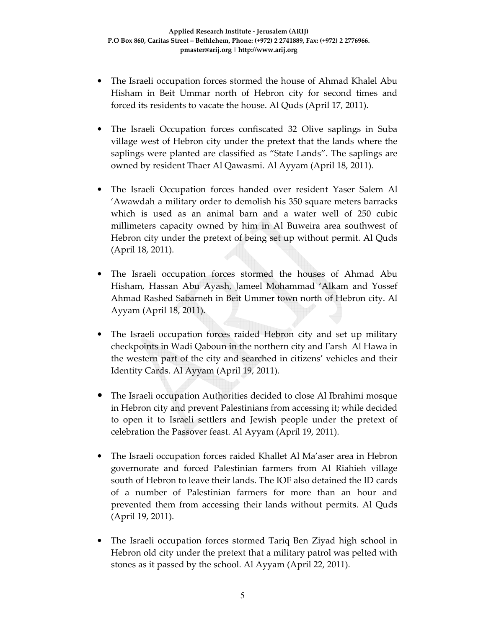- The Israeli occupation forces stormed the house of Ahmad Khalel Abu Hisham in Beit Ummar north of Hebron city for second times and forced its residents to vacate the house. Al Quds (April 17, 2011).
- The Israeli Occupation forces confiscated 32 Olive saplings in Suba village west of Hebron city under the pretext that the lands where the saplings were planted are classified as "State Lands". The saplings are owned by resident Thaer Al Qawasmi. Al Ayyam (April 18, 2011).
- The Israeli Occupation forces handed over resident Yaser Salem Al 'Awawdah a military order to demolish his 350 square meters barracks which is used as an animal barn and a water well of 250 cubic millimeters capacity owned by him in Al Buweira area southwest of Hebron city under the pretext of being set up without permit. Al Quds (April 18, 2011).
- The Israeli occupation forces stormed the houses of Ahmad Abu Hisham, Hassan Abu Ayash, Jameel Mohammad 'Alkam and Yossef Ahmad Rashed Sabarneh in Beit Ummer town north of Hebron city. Al Ayyam (April 18, 2011).
- The Israeli occupation forces raided Hebron city and set up military checkpoints in Wadi Qaboun in the northern city and Farsh Al Hawa in the western part of the city and searched in citizens' vehicles and their Identity Cards. Al Ayyam (April 19, 2011).
- The Israeli occupation Authorities decided to close Al Ibrahimi mosque in Hebron city and prevent Palestinians from accessing it; while decided to open it to Israeli settlers and Jewish people under the pretext of celebration the Passover feast. Al Ayyam (April 19, 2011).
- The Israeli occupation forces raided Khallet Al Ma'aser area in Hebron governorate and forced Palestinian farmers from Al Riahieh village south of Hebron to leave their lands. The IOF also detained the ID cards of a number of Palestinian farmers for more than an hour and prevented them from accessing their lands without permits. Al Quds (April 19, 2011).
- The Israeli occupation forces stormed Tariq Ben Ziyad high school in Hebron old city under the pretext that a military patrol was pelted with stones as it passed by the school. Al Ayyam (April 22, 2011).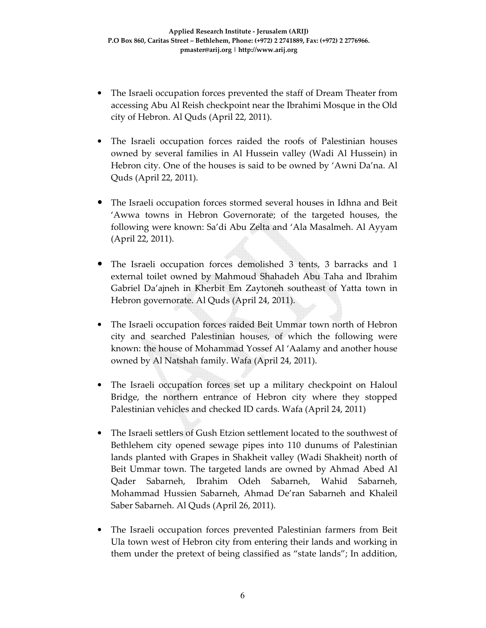- The Israeli occupation forces prevented the staff of Dream Theater from accessing Abu Al Reish checkpoint near the Ibrahimi Mosque in the Old city of Hebron. Al Quds (April 22, 2011).
- The Israeli occupation forces raided the roofs of Palestinian houses owned by several families in Al Hussein valley (Wadi Al Hussein) in Hebron city. One of the houses is said to be owned by 'Awni Da'na. Al Quds (April 22, 2011).
- The Israeli occupation forces stormed several houses in Idhna and Beit 'Awwa towns in Hebron Governorate; of the targeted houses, the following were known: Sa'di Abu Zelta and 'Ala Masalmeh. Al Ayyam (April 22, 2011).
- The Israeli occupation forces demolished 3 tents, 3 barracks and 1 external toilet owned by Mahmoud Shahadeh Abu Taha and Ibrahim Gabriel Da'ajneh in Kherbit Em Zaytoneh southeast of Yatta town in Hebron governorate. Al Quds (April 24, 2011).
- The Israeli occupation forces raided Beit Ummar town north of Hebron city and searched Palestinian houses, of which the following were known: the house of Mohammad Yossef Al 'Aalamy and another house owned by Al Natshah family. Wafa (April 24, 2011).
- The Israeli occupation forces set up a military checkpoint on Haloul Bridge, the northern entrance of Hebron city where they stopped Palestinian vehicles and checked ID cards. Wafa (April 24, 2011)
- The Israeli settlers of Gush Etzion settlement located to the southwest of Bethlehem city opened sewage pipes into 110 dunums of Palestinian lands planted with Grapes in Shakheit valley (Wadi Shakheit) north of Beit Ummar town. The targeted lands are owned by Ahmad Abed Al Qader Sabarneh, Ibrahim Odeh Sabarneh, Wahid Sabarneh, Mohammad Hussien Sabarneh, Ahmad De'ran Sabarneh and Khaleil Saber Sabarneh. Al Quds (April 26, 2011).
- The Israeli occupation forces prevented Palestinian farmers from Beit Ula town west of Hebron city from entering their lands and working in them under the pretext of being classified as "state lands"; In addition,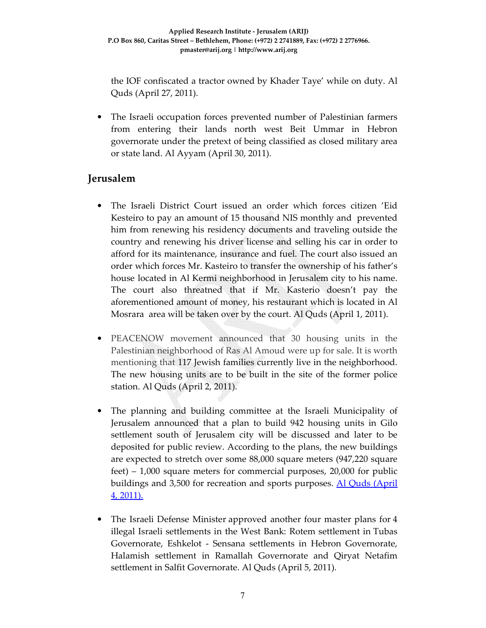the IOF confiscated a tractor owned by Khader Taye' while on duty. Al Quds (April 27, 2011).

• The Israeli occupation forces prevented number of Palestinian farmers from entering their lands north west Beit Ummar in Hebron governorate under the pretext of being classified as closed military area or state land. Al Ayyam (April 30, 2011).

# **Jerusalem**

- The Israeli District Court issued an order which forces citizen 'Eid Kesteiro to pay an amount of 15 thousand NIS monthly and prevented him from renewing his residency documents and traveling outside the country and renewing his driver license and selling his car in order to afford for its maintenance, insurance and fuel. The court also issued an order which forces Mr. Kasteiro to transfer the ownership of his father's house located in Al Kermi neighborhood in Jerusalem city to his name. The court also threatned that if Mr. Kasterio doesn't pay the aforementioned amount of money, his restaurant which is located in Al Mosrara area will be taken over by the court. Al Quds (April 1, 2011).
- PEACENOW movement announced that 30 housing units in the Palestinian neighborhood of Ras Al Amoud were up for sale. It is worth mentioning that 117 Jewish families currently live in the neighborhood. The new housing units are to be built in the site of the former police station. Al Quds (April 2, 2011).
- The planning and building committee at the Israeli Municipality of Jerusalem announced that a plan to build 942 housing units in Gilo settlement south of Jerusalem city will be discussed and later to be deposited for public review. According to the plans, the new buildings are expected to stretch over some 88,000 square meters (947,220 square feet) – 1,000 square meters for commercial purposes, 20,000 for public buildings and 3,500 for recreation and sports purposes. Al Quds (April 4, 2011).
- The Israeli Defense Minister approved another four master plans for 4 illegal Israeli settlements in the West Bank: Rotem settlement in Tubas Governorate, Eshkelot - Sensana settlements in Hebron Governorate, Halamish settlement in Ramallah Governorate and Qiryat Netafim settlement in Salfit Governorate. Al Quds (April 5, 2011).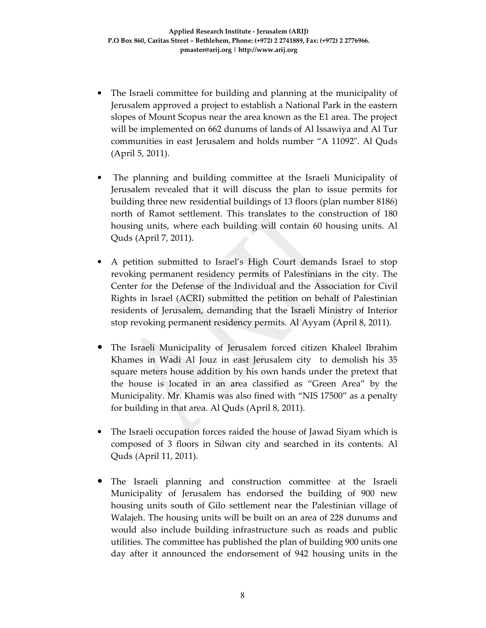- The Israeli committee for building and planning at the municipality of Jerusalem approved a project to establish a National Park in the eastern slopes of Mount Scopus near the area known as the E1 area. The project will be implemented on 662 dunums of lands of Al Issawiya and Al Tur communities in east Jerusalem and holds number "A 11092". Al Quds (April 5, 2011).
- The planning and building committee at the Israeli Municipality of Jerusalem revealed that it will discuss the plan to issue permits for building three new residential buildings of 13 floors (plan number 8186) north of Ramot settlement. This translates to the construction of 180 housing units, where each building will contain 60 housing units. Al Quds (April 7, 2011).
- A petition submitted to Israel's High Court demands Israel to stop revoking permanent residency permits of Palestinians in the city. The Center for the Defense of the Individual and the Association for Civil Rights in Israel (ACRI) submitted the petition on behalf of Palestinian residents of Jerusalem, demanding that the Israeli Ministry of Interior stop revoking permanent residency permits. Al Ayyam (April 8, 2011).
- The Israeli Municipality of Jerusalem forced citizen Khaleel Ibrahim Khames in Wadi Al Jouz in east Jerusalem city to demolish his 35 square meters house addition by his own hands under the pretext that the house is located in an area classified as "Green Area" by the Municipality. Mr. Khamis was also fined with "NIS 17500" as a penalty for building in that area. Al Quds (April 8, 2011).
- The Israeli occupation forces raided the house of Jawad Siyam which is composed of 3 floors in Silwan city and searched in its contents. Al Quds (April 11, 2011).
- The Israeli planning and construction committee at the Israeli Municipality of Jerusalem has endorsed the building of 900 new housing units south of Gilo settlement near the Palestinian village of Walajeh. The housing units will be built on an area of 228 dunums and would also include building infrastructure such as roads and public utilities. The committee has published the plan of building 900 units one day after it announced the endorsement of 942 housing units in the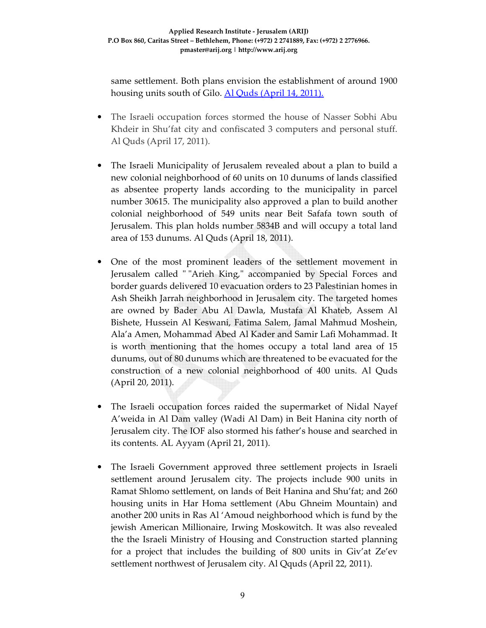same settlement. Both plans envision the establishment of around 1900 housing units south of Gilo. Al Quds (April 14, 2011).

- The Israeli occupation forces stormed the house of Nasser Sobhi Abu Khdeir in Shu'fat city and confiscated 3 computers and personal stuff. Al Quds (April 17, 2011).
- The Israeli Municipality of Jerusalem revealed about a plan to build a new colonial neighborhood of 60 units on 10 dunums of lands classified as absentee property lands according to the municipality in parcel number 30615. The municipality also approved a plan to build another colonial neighborhood of 549 units near Beit Safafa town south of Jerusalem. This plan holds number 5834B and will occupy a total land area of 153 dunums. Al Quds (April 18, 2011).
- One of the most prominent leaders of the settlement movement in Jerusalem called " "Arieh King," accompanied by Special Forces and border guards delivered 10 evacuation orders to 23 Palestinian homes in Ash Sheikh Jarrah neighborhood in Jerusalem city. The targeted homes are owned by Bader Abu Al Dawla, Mustafa Al Khateb, Assem Al Bishete, Hussein Al Keswani, Fatima Salem, Jamal Mahmud Moshein, Ala'a Amen, Mohammad Abed Al Kader and Samir Lafi Mohammad. It is worth mentioning that the homes occupy a total land area of 15 dunums, out of 80 dunums which are threatened to be evacuated for the construction of a new colonial neighborhood of 400 units. Al Quds (April 20, 2011).
- The Israeli occupation forces raided the supermarket of Nidal Nayef A'weida in Al Dam valley (Wadi Al Dam) in Beit Hanina city north of Jerusalem city. The IOF also stormed his father's house and searched in its contents. AL Ayyam (April 21, 2011).
- The Israeli Government approved three settlement projects in Israeli settlement around Jerusalem city. The projects include 900 units in Ramat Shlomo settlement, on lands of Beit Hanina and Shu'fat; and 260 housing units in Har Homa settlement (Abu Ghneim Mountain) and another 200 units in Ras Al 'Amoud neighborhood which is fund by the jewish American Millionaire, Irwing Moskowitch. It was also revealed the the Israeli Ministry of Housing and Construction started planning for a project that includes the building of 800 units in Giv'at Ze'ev settlement northwest of Jerusalem city. Al Qquds (April 22, 2011).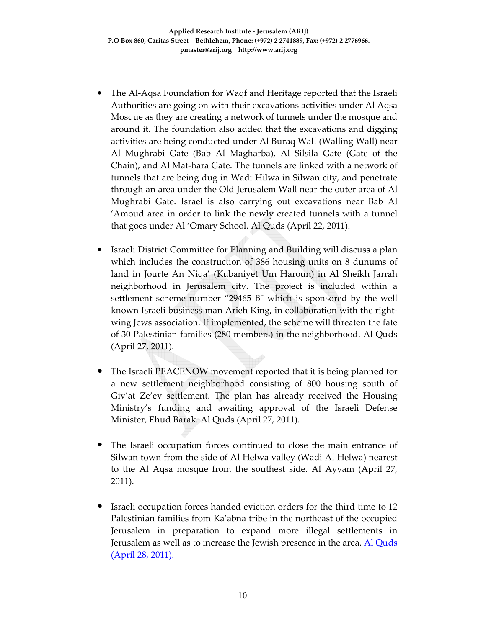- The Al-Aqsa Foundation for Waqf and Heritage reported that the Israeli Authorities are going on with their excavations activities under Al Aqsa Mosque as they are creating a network of tunnels under the mosque and around it. The foundation also added that the excavations and digging activities are being conducted under Al Buraq Wall (Walling Wall) near Al Mughrabi Gate (Bab Al Magharba), Al Silsila Gate (Gate of the Chain), and Al Mat-hara Gate. The tunnels are linked with a network of tunnels that are being dug in Wadi Hilwa in Silwan city, and penetrate through an area under the Old Jerusalem Wall near the outer area of Al Mughrabi Gate. Israel is also carrying out excavations near Bab Al 'Amoud area in order to link the newly created tunnels with a tunnel that goes under Al 'Omary School. Al Quds (April 22, 2011).
- Israeli District Committee for Planning and Building will discuss a plan which includes the construction of 386 housing units on 8 dunums of land in Jourte An Niqa' (Kubaniyet Um Haroun) in Al Sheikh Jarrah neighborhood in Jerusalem city. The project is included within a settlement scheme number "29465 B" which is sponsored by the well known Israeli business man Arieh King, in collaboration with the rightwing Jews association. If implemented, the scheme will threaten the fate of 30 Palestinian families (280 members) in the neighborhood. Al Quds (April 27, 2011).
- The Israeli PEACENOW movement reported that it is being planned for a new settlement neighborhood consisting of 800 housing south of Giv'at Ze'ev settlement. The plan has already received the Housing Ministry's funding and awaiting approval of the Israeli Defense Minister, Ehud Barak. Al Quds (April 27, 2011).
- The Israeli occupation forces continued to close the main entrance of Silwan town from the side of Al Helwa valley (Wadi Al Helwa) nearest to the Al Aqsa mosque from the southest side. Al Ayyam (April 27, 2011).
- Israeli occupation forces handed eviction orders for the third time to 12 Palestinian families from Ka'abna tribe in the northeast of the occupied Jerusalem in preparation to expand more illegal settlements in Jerusalem as well as to increase the Jewish presence in the area. Al Quds (April 28, 2011).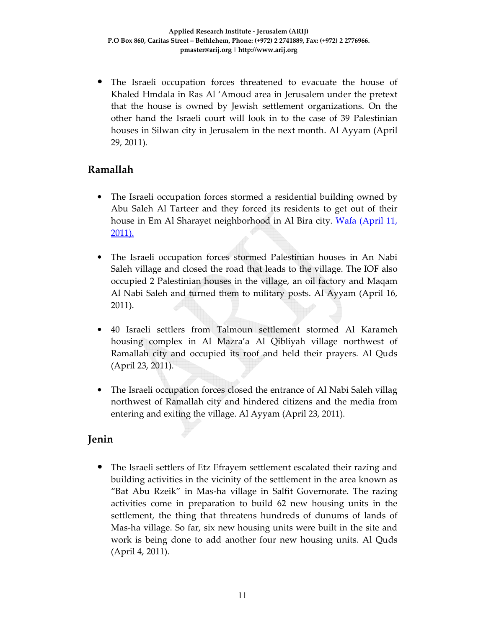• The Israeli occupation forces threatened to evacuate the house of Khaled Hmdala in Ras Al 'Amoud area in Jerusalem under the pretext that the house is owned by Jewish settlement organizations. On the other hand the Israeli court will look in to the case of 39 Palestinian houses in Silwan city in Jerusalem in the next month. Al Ayyam (April 29, 2011).

# **Ramallah**

- The Israeli occupation forces stormed a residential building owned by Abu Saleh Al Tarteer and they forced its residents to get out of their house in Em Al Sharayet neighborhood in Al Bira city. Wafa (April 11, 2011).
- The Israeli occupation forces stormed Palestinian houses in An Nabi Saleh village and closed the road that leads to the village. The IOF also occupied 2 Palestinian houses in the village, an oil factory and Maqam Al Nabi Saleh and turned them to military posts. Al Ayyam (April 16, 2011).
- 40 Israeli settlers from Talmoun settlement stormed Al Karameh housing complex in Al Mazra'a Al Qibliyah village northwest of Ramallah city and occupied its roof and held their prayers. Al Quds (April 23, 2011).
- The Israeli occupation forces closed the entrance of Al Nabi Saleh villag northwest of Ramallah city and hindered citizens and the media from entering and exiting the village. Al Ayyam (April 23, 2011).

# **Jenin**

• The Israeli settlers of Etz Efrayem settlement escalated their razing and building activities in the vicinity of the settlement in the area known as "Bat Abu Rzeik" in Mas-ha village in Salfit Governorate. The razing activities come in preparation to build 62 new housing units in the settlement, the thing that threatens hundreds of dunums of lands of Mas-ha village. So far, six new housing units were built in the site and work is being done to add another four new housing units. Al Quds (April 4, 2011).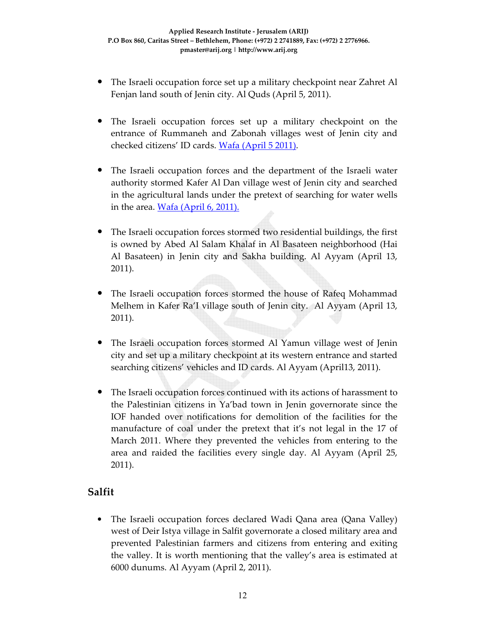- The Israeli occupation force set up a military checkpoint near Zahret Al Fenjan land south of Jenin city. Al Quds (April 5, 2011).
- The Israeli occupation forces set up a military checkpoint on the entrance of Rummaneh and Zabonah villages west of Jenin city and checked citizens' ID cards. Wafa (April 5 2011).
- The Israeli occupation forces and the department of the Israeli water authority stormed Kafer Al Dan village west of Jenin city and searched in the agricultural lands under the pretext of searching for water wells in the area.  $Wafa (April 6, 2011).$ </u>
- The Israeli occupation forces stormed two residential buildings, the first is owned by Abed Al Salam Khalaf in Al Basateen neighborhood (Hai Al Basateen) in Jenin city and Sakha building. Al Ayyam (April 13, 2011).
- The Israeli occupation forces stormed the house of Rafeq Mohammad Melhem in Kafer Ra'I village south of Jenin city. Al Ayyam (April 13, 2011).
- The Israeli occupation forces stormed Al Yamun village west of Jenin city and set up a military checkpoint at its western entrance and started searching citizens' vehicles and ID cards. Al Ayyam (April13, 2011).
- The Israeli occupation forces continued with its actions of harassment to the Palestinian citizens in Ya'bad town in Jenin governorate since the IOF handed over notifications for demolition of the facilities for the manufacture of coal under the pretext that it's not legal in the 17 of March 2011. Where they prevented the vehicles from entering to the area and raided the facilities every single day. Al Ayyam (April 25, 2011).

# **Salfit**

• The Israeli occupation forces declared Wadi Qana area (Qana Valley) west of Deir Istya village in Salfit governorate a closed military area and prevented Palestinian farmers and citizens from entering and exiting the valley. It is worth mentioning that the valley's area is estimated at 6000 dunums. Al Ayyam (April 2, 2011).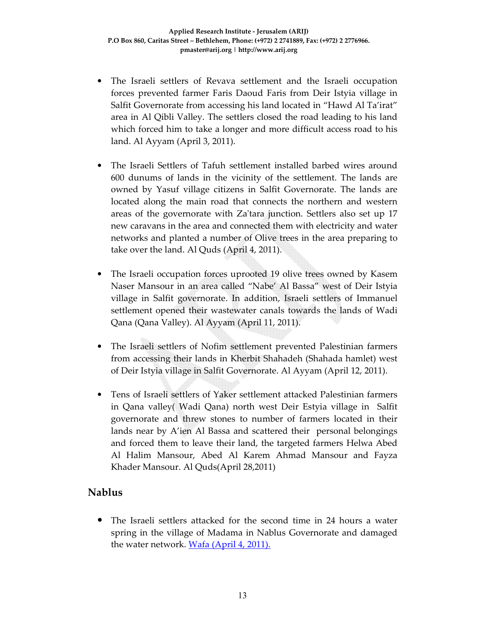- The Israeli settlers of Revava settlement and the Israeli occupation forces prevented farmer Faris Daoud Faris from Deir Istyia village in Salfit Governorate from accessing his land located in "Hawd Al Ta'irat" area in Al Qibli Valley. The settlers closed the road leading to his land which forced him to take a longer and more difficult access road to his land. Al Ayyam (April 3, 2011).
- The Israeli Settlers of Tafuh settlement installed barbed wires around 600 dunums of lands in the vicinity of the settlement. The lands are owned by Yasuf village citizens in Salfit Governorate. The lands are located along the main road that connects the northern and western areas of the governorate with Za'tara junction. Settlers also set up 17 new caravans in the area and connected them with electricity and water networks and planted a number of Olive trees in the area preparing to take over the land. Al Quds (April 4, 2011).
- The Israeli occupation forces uprooted 19 olive trees owned by Kasem Naser Mansour in an area called "Nabe' Al Bassa" west of Deir Istyia village in Salfit governorate. In addition, Israeli settlers of Immanuel settlement opened their wastewater canals towards the lands of Wadi Qana (Qana Valley). Al Ayyam (April 11, 2011).
- The Israeli settlers of Nofim settlement prevented Palestinian farmers from accessing their lands in Kherbit Shahadeh (Shahada hamlet) west of Deir Istyia village in Salfit Governorate. Al Ayyam (April 12, 2011).
- Tens of Israeli settlers of Yaker settlement attacked Palestinian farmers in Qana valley( Wadi Qana) north west Deir Estyia village in Salfit governorate and threw stones to number of farmers located in their lands near by A'ien Al Bassa and scattered their personal belongings and forced them to leave their land, the targeted farmers Helwa Abed Al Halim Mansour, Abed Al Karem Ahmad Mansour and Fayza Khader Mansour. Al Quds(April 28,2011)

### **Nablus**

• The Israeli settlers attacked for the second time in 24 hours a water spring in the village of Madama in Nablus Governorate and damaged the water network. Wafa (April 4, 2011).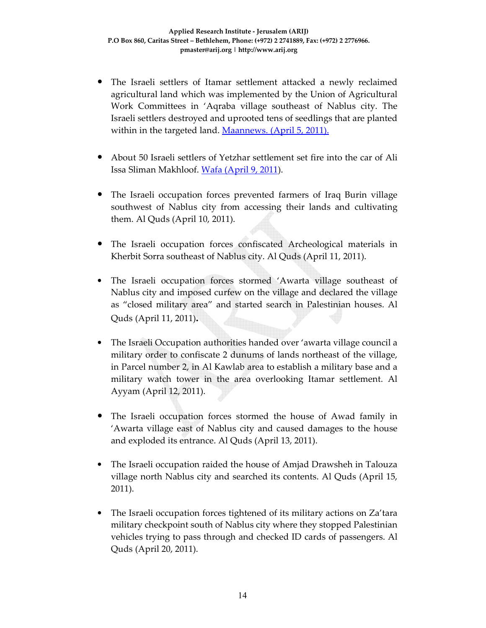- The Israeli settlers of Itamar settlement attacked a newly reclaimed agricultural land which was implemented by the Union of Agricultural Work Committees in 'Aqraba village southeast of Nablus city. The Israeli settlers destroyed and uprooted tens of seedlings that are planted within in the targeted land. Maannews. (April 5, 2011).
- About 50 Israeli settlers of Yetzhar settlement set fire into the car of Ali Issa Sliman Makhloof. Wafa (April 9, 2011).
- The Israeli occupation forces prevented farmers of Iraq Burin village southwest of Nablus city from accessing their lands and cultivating them. Al Quds (April 10, 2011).
- The Israeli occupation forces confiscated Archeological materials in Kherbit Sorra southeast of Nablus city. Al Quds (April 11, 2011).
- The Israeli occupation forces stormed 'Awarta village southeast of Nablus city and imposed curfew on the village and declared the village as "closed military area" and started search in Palestinian houses. Al Quds (April 11, 2011)**.**
- The Israeli Occupation authorities handed over 'awarta village council a military order to confiscate 2 dunums of lands northeast of the village, in Parcel number 2, in Al Kawlab area to establish a military base and a military watch tower in the area overlooking Itamar settlement. Al Ayyam (April 12, 2011).
- The Israeli occupation forces stormed the house of Awad family in 'Awarta village east of Nablus city and caused damages to the house and exploded its entrance. Al Quds (April 13, 2011).
- The Israeli occupation raided the house of Amjad Drawsheh in Talouza village north Nablus city and searched its contents. Al Quds (April 15, 2011).
- The Israeli occupation forces tightened of its military actions on Za'tara military checkpoint south of Nablus city where they stopped Palestinian vehicles trying to pass through and checked ID cards of passengers. Al Quds (April 20, 2011).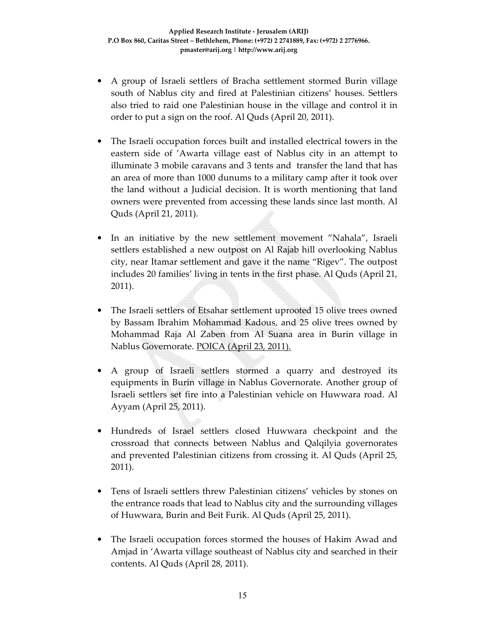- A group of Israeli settlers of Bracha settlement stormed Burin village south of Nablus city and fired at Palestinian citizens' houses. Settlers also tried to raid one Palestinian house in the village and control it in order to put a sign on the roof. Al Quds (April 20, 2011).
- The Israeli occupation forces built and installed electrical towers in the eastern side of 'Awarta village east of Nablus city in an attempt to illuminate 3 mobile caravans and 3 tents and transfer the land that has an area of more than 1000 dunums to a military camp after it took over the land without a Judicial decision. It is worth mentioning that land owners were prevented from accessing these lands since last month. Al Quds (April 21, 2011).
- In an initiative by the new settlement movement "Nahala", Israeli settlers established a new outpost on Al Rajab hill overlooking Nablus city, near Itamar settlement and gave it the name "Rigev". The outpost includes 20 families' living in tents in the first phase. Al Quds (April 21, 2011).
- The Israeli settlers of Etsahar settlement uprooted 15 olive trees owned by Bassam Ibrahim Mohammad Kadous, and 25 olive trees owned by Mohammad Raja Al Zaben from Al Suana area in Burin village in Nablus Governorate. POICA (April 23, 2011).
- A group of Israeli settlers stormed a quarry and destroyed its equipments in Burin village in Nablus Governorate. Another group of Israeli settlers set fire into a Palestinian vehicle on Huwwara road. Al Ayyam (April 25, 2011).
- Hundreds of Israel settlers closed Huwwara checkpoint and the crossroad that connects between Nablus and Qalqilyia governorates and prevented Palestinian citizens from crossing it. Al Quds (April 25, 2011).
- Tens of Israeli settlers threw Palestinian citizens' vehicles by stones on the entrance roads that lead to Nablus city and the surrounding villages of Huwwara, Burin and Beit Furik. Al Quds (April 25, 2011).
- The Israeli occupation forces stormed the houses of Hakim Awad and Amjad in 'Awarta village southeast of Nablus city and searched in their contents. Al Quds (April 28, 2011).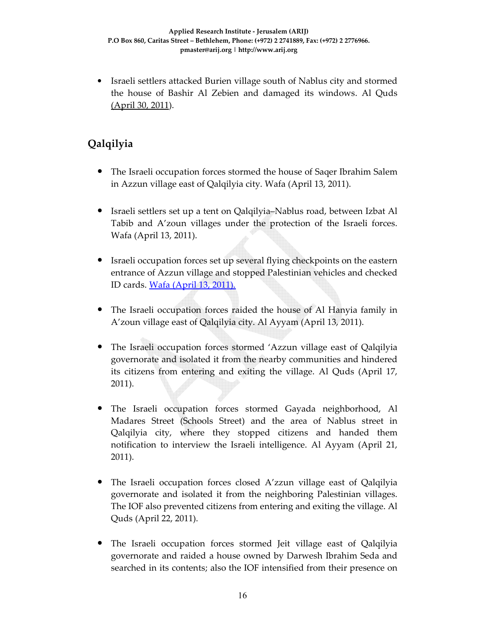• Israeli settlers attacked Burien village south of Nablus city and stormed the house of Bashir Al Zebien and damaged its windows. Al Quds (April 30, 2011).

# **Qalqilyia**

- The Israeli occupation forces stormed the house of Saqer Ibrahim Salem in Azzun village east of Qalqilyia city. Wafa (April 13, 2011).
- Israeli settlers set up a tent on Qalqilyia–Nablus road, between Izbat Al Tabib and A'zoun villages under the protection of the Israeli forces. Wafa (April 13, 2011).
- Israeli occupation forces set up several flying checkpoints on the eastern entrance of Azzun village and stopped Palestinian vehicles and checked ID cards. Wafa (April 13, 2011).
- The Israeli occupation forces raided the house of Al Hanyia family in A'zoun village east of Qalqilyia city. Al Ayyam (April 13, 2011).
- The Israeli occupation forces stormed 'Azzun village east of Qalqilyia governorate and isolated it from the nearby communities and hindered its citizens from entering and exiting the village. Al Quds (April 17, 2011).
- The Israeli occupation forces stormed Gayada neighborhood, Al Madares Street (Schools Street) and the area of Nablus street in Qalqilyia city, where they stopped citizens and handed them notification to interview the Israeli intelligence. Al Ayyam (April 21, 2011).
- The Israeli occupation forces closed A'zzun village east of Qalqilyia governorate and isolated it from the neighboring Palestinian villages. The IOF also prevented citizens from entering and exiting the village. Al Quds (April 22, 2011).
- The Israeli occupation forces stormed Jeit village east of Qalqilyia governorate and raided a house owned by Darwesh Ibrahim Seda and searched in its contents; also the IOF intensified from their presence on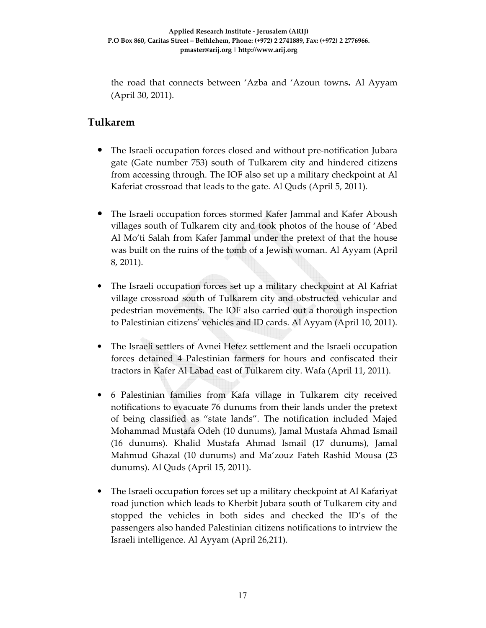the road that connects between 'Azba and 'Azoun towns**.** Al Ayyam (April 30, 2011).

# **Tulkarem**

- The Israeli occupation forces closed and without pre-notification Jubara gate (Gate number 753) south of Tulkarem city and hindered citizens from accessing through. The IOF also set up a military checkpoint at Al Kaferiat crossroad that leads to the gate. Al Quds (April 5, 2011).
- The Israeli occupation forces stormed Kafer Jammal and Kafer Aboush villages south of Tulkarem city and took photos of the house of 'Abed Al Mo'ti Salah from Kafer Jammal under the pretext of that the house was built on the ruins of the tomb of a Jewish woman. Al Ayyam (April 8, 2011).
- The Israeli occupation forces set up a military checkpoint at Al Kafriat village crossroad south of Tulkarem city and obstructed vehicular and pedestrian movements. The IOF also carried out a thorough inspection to Palestinian citizens' vehicles and ID cards. Al Ayyam (April 10, 2011).
- The Israeli settlers of Avnei Hefez settlement and the Israeli occupation forces detained 4 Palestinian farmers for hours and confiscated their tractors in Kafer Al Labad east of Tulkarem city. Wafa (April 11, 2011).
- 6 Palestinian families from Kafa village in Tulkarem city received notifications to evacuate 76 dunums from their lands under the pretext of being classified as "state lands". The notification included Majed Mohammad Mustafa Odeh (10 dunums), Jamal Mustafa Ahmad Ismail (16 dunums). Khalid Mustafa Ahmad Ismail (17 dunums), Jamal Mahmud Ghazal (10 dunums) and Ma'zouz Fateh Rashid Mousa (23 dunums). Al Quds (April 15, 2011).
- The Israeli occupation forces set up a military checkpoint at Al Kafariyat road junction which leads to Kherbit Jubara south of Tulkarem city and stopped the vehicles in both sides and checked the ID's of the passengers also handed Palestinian citizens notifications to intrview the Israeli intelligence. Al Ayyam (April 26,211).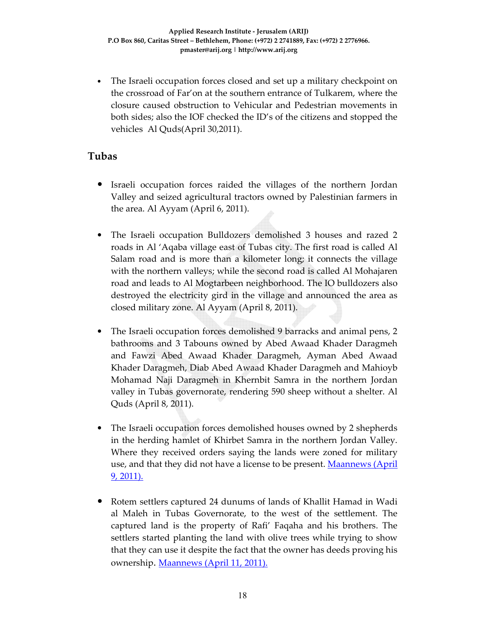• The Israeli occupation forces closed and set up a military checkpoint on the crossroad of Far'on at the southern entrance of Tulkarem, where the closure caused obstruction to Vehicular and Pedestrian movements in both sides; also the IOF checked the ID's of the citizens and stopped the vehicles Al Quds(April 30,2011).

### **Tubas**

- Israeli occupation forces raided the villages of the northern Jordan Valley and seized agricultural tractors owned by Palestinian farmers in the area. Al Ayyam (April 6, 2011).
- The Israeli occupation Bulldozers demolished 3 houses and razed 2 roads in Al 'Aqaba village east of Tubas city. The first road is called Al Salam road and is more than a kilometer long; it connects the village with the northern valleys; while the second road is called Al Mohajaren road and leads to Al Mogtarbeen neighborhood. The IO bulldozers also destroyed the electricity gird in the village and announced the area as closed military zone. Al Ayyam (April 8, 2011).
- The Israeli occupation forces demolished 9 barracks and animal pens, 2 bathrooms and 3 Tabouns owned by Abed Awaad Khader Daragmeh and Fawzi Abed Awaad Khader Daragmeh, Ayman Abed Awaad Khader Daragmeh, Diab Abed Awaad Khader Daragmeh and Mahioyb Mohamad Naji Daragmeh in Khernbit Samra in the northern Jordan valley in Tubas governorate, rendering 590 sheep without a shelter. Al Quds (April 8, 2011).
- The Israeli occupation forces demolished houses owned by 2 shepherds in the herding hamlet of Khirbet Samra in the northern Jordan Valley. Where they received orders saying the lands were zoned for military use, and that they did not have a license to be present. Maannews (April 9, 2011).
- Rotem settlers captured 24 dunums of lands of Khallit Hamad in Wadi al Maleh in Tubas Governorate, to the west of the settlement. The captured land is the property of Rafi' Faqaha and his brothers. The settlers started planting the land with olive trees while trying to show that they can use it despite the fact that the owner has deeds proving his ownership. Maannews (April 11, 2011).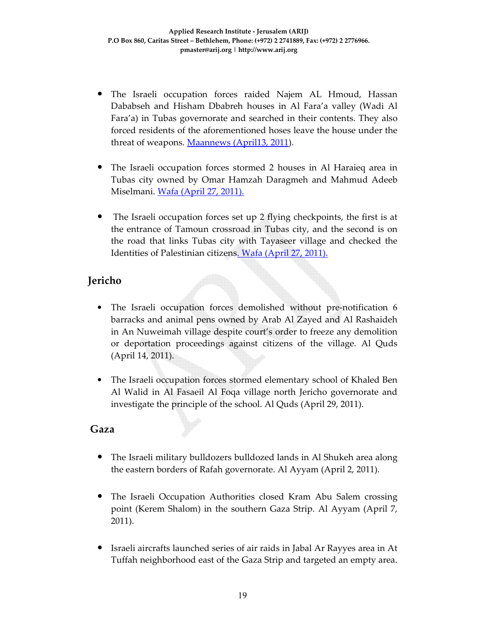- The Israeli occupation forces raided Najem AL Hmoud, Hassan Dababseh and Hisham Dbabreh houses in Al Fara'a valley (Wadi Al Fara'a) in Tubas governorate and searched in their contents. They also forced residents of the aforementioned hoses leave the house under the threat of weapons. Maannews (April13, 2011).
- The Israeli occupation forces stormed 2 houses in Al Haraieq area in Tubas city owned by Omar Hamzah Daragmeh and Mahmud Adeeb Miselmani. Wafa (April 27, 2011).
- The Israeli occupation forces set up 2 flying checkpoints, the first is at the entrance of Tamoun crossroad in Tubas city, and the second is on the road that links Tubas city with Tayaseer village and checked the Identities of Palestinian citizens. Wafa (April 27, 2011).

# **Jericho**

- The Israeli occupation forces demolished without pre-notification 6 barracks and animal pens owned by Arab Al Zayed and Al Rashaideh in An Nuweimah village despite court's order to freeze any demolition or deportation proceedings against citizens of the village. Al Quds (April 14, 2011).
- The Israeli occupation forces stormed elementary school of Khaled Ben Al Walid in Al Fasaeil Al Foqa village north Jericho governorate and investigate the principle of the school. Al Quds (April 29, 2011).

# **Gaza**

- The Israeli military bulldozers bulldozed lands in Al Shukeh area along the eastern borders of Rafah governorate. Al Ayyam (April 2, 2011).
- The Israeli Occupation Authorities closed Kram Abu Salem crossing point (Kerem Shalom) in the southern Gaza Strip. Al Ayyam (April 7, 2011).
- Israeli aircrafts launched series of air raids in Jabal Ar Rayyes area in At Tuffah neighborhood east of the Gaza Strip and targeted an empty area.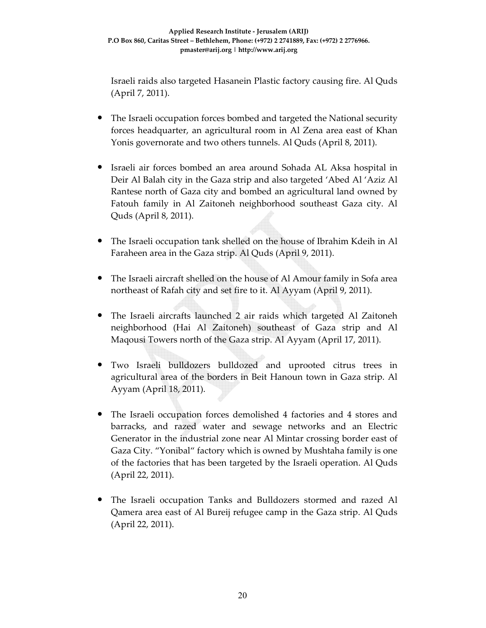Israeli raids also targeted Hasanein Plastic factory causing fire. Al Quds (April 7, 2011).

- The Israeli occupation forces bombed and targeted the National security forces headquarter, an agricultural room in Al Zena area east of Khan Yonis governorate and two others tunnels. Al Quds (April 8, 2011).
- Israeli air forces bombed an area around Sohada AL Aksa hospital in Deir Al Balah city in the Gaza strip and also targeted 'Abed Al 'Aziz Al Rantese north of Gaza city and bombed an agricultural land owned by Fatouh family in Al Zaitoneh neighborhood southeast Gaza city. Al Quds (April 8, 2011).
- The Israeli occupation tank shelled on the house of Ibrahim Kdeih in Al Faraheen area in the Gaza strip. Al Quds (April 9, 2011).
- The Israeli aircraft shelled on the house of Al Amour family in Sofa area northeast of Rafah city and set fire to it. Al Ayyam (April 9, 2011).
- The Israeli aircrafts launched 2 air raids which targeted Al Zaitoneh neighborhood (Hai Al Zaitoneh) southeast of Gaza strip and Al Maqousi Towers north of the Gaza strip. Al Ayyam (April 17, 2011).
- Two Israeli bulldozers bulldozed and uprooted citrus trees in agricultural area of the borders in Beit Hanoun town in Gaza strip. Al Ayyam (April 18, 2011).
- The Israeli occupation forces demolished 4 factories and 4 stores and barracks, and razed water and sewage networks and an Electric Generator in the industrial zone near Al Mintar crossing border east of Gaza City. "Yonibal" factory which is owned by Mushtaha family is one of the factories that has been targeted by the Israeli operation. Al Quds (April 22, 2011).
- The Israeli occupation Tanks and Bulldozers stormed and razed Al Qamera area east of Al Bureij refugee camp in the Gaza strip. Al Quds (April 22, 2011).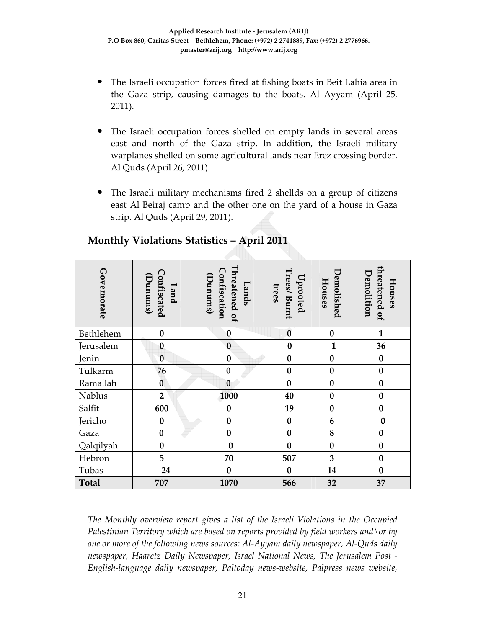- The Israeli occupation forces fired at fishing boats in Beit Lahia area in the Gaza strip, causing damages to the boats. Al Ayyam (April 25, 2011).
- The Israeli occupation forces shelled on empty lands in several areas east and north of the Gaza strip. In addition, the Israeli military warplanes shelled on some agricultural lands near Erez crossing border. Al Quds (April 26, 2011).
- The Israeli military mechanisms fired 2 shellds on a group of citizens east Al Beiraj camp and the other one on the yard of a house in Gaza strip. Al Quds (April 29, 2011).

| Governorate                                                                                                                                                                                                                                                                                                                                                                                                                            | Confiscated<br>Dunum()<br>Land | Threatened of<br>Confiscation<br><b>Dunums</b> )<br>Lands | Trees/Burnt<br>Uprooted<br>trees | Demolished<br>Houses | threatened of<br><b>emolition</b><br>Houses |
|----------------------------------------------------------------------------------------------------------------------------------------------------------------------------------------------------------------------------------------------------------------------------------------------------------------------------------------------------------------------------------------------------------------------------------------|--------------------------------|-----------------------------------------------------------|----------------------------------|----------------------|---------------------------------------------|
| Bethlehem                                                                                                                                                                                                                                                                                                                                                                                                                              | $\bf{0}$                       | $\bf{0}$                                                  | $\bf{0}$                         | $\boldsymbol{0}$     | $\mathbf{1}$                                |
| Jerusalem                                                                                                                                                                                                                                                                                                                                                                                                                              | $\bf{0}$                       | $\bf{0}$                                                  | $\bf{0}$                         | $\mathbf{1}$         | 36                                          |
| Jenin                                                                                                                                                                                                                                                                                                                                                                                                                                  | $\bf{0}$                       | $\bf{0}$                                                  | $\bf{0}$                         | $\bf{0}$             | $\bf{0}$                                    |
| Tulkarm                                                                                                                                                                                                                                                                                                                                                                                                                                | 76                             | $\bf{0}$                                                  | $\bf{0}$                         | $\bf{0}$             | $\bf{0}$                                    |
| Ramallah                                                                                                                                                                                                                                                                                                                                                                                                                               | $\bf{0}$                       | $\bf{0}$                                                  | $\bf{0}$                         | $\bf{0}$             | $\bf{0}$                                    |
| Nablus                                                                                                                                                                                                                                                                                                                                                                                                                                 | $\overline{2}$                 | 1000                                                      | 40                               | $\bf{0}$             | $\bf{0}$                                    |
| Salfit                                                                                                                                                                                                                                                                                                                                                                                                                                 | 600                            | $\bf{0}$                                                  | 19                               | $\bf{0}$             | $\bf{0}$                                    |
| Jericho                                                                                                                                                                                                                                                                                                                                                                                                                                | $\bf{0}$                       | $\bf{0}$                                                  | $\boldsymbol{0}$                 | 6                    | $\bf{0}$                                    |
| Gaza                                                                                                                                                                                                                                                                                                                                                                                                                                   | $\bf{0}$                       | $\bf{0}$                                                  | $\bf{0}$                         | 8                    | $\bf{0}$                                    |
| Qalqilyah                                                                                                                                                                                                                                                                                                                                                                                                                              | $\bf{0}$                       | $\bf{0}$                                                  | $\bf{0}$                         | $\bf{0}$             | $\bf{0}$                                    |
| Hebron                                                                                                                                                                                                                                                                                                                                                                                                                                 | 5                              | 70                                                        | 507                              | 3                    | $\bf{0}$                                    |
| Tubas                                                                                                                                                                                                                                                                                                                                                                                                                                  | 24                             | $\bf{0}$                                                  | $\bf{0}$                         | 14                   | $\bf{0}$                                    |
| <b>Total</b>                                                                                                                                                                                                                                                                                                                                                                                                                           | 707                            | 1070                                                      | 566                              | 32                   | 37                                          |
| The Monthly overview report gives a list of the Israeli Violations in the Occupied<br>Palestinian Territory which are based on reports provided by field workers and \or by<br>one or more of the following news sources: Al-Ayyam daily newspaper, Al-Quds daily<br>newspaper, Haaretz Daily Newspaper, Israel National News, The Jerusalem Post -<br>English-language daily newspaper, Paltoday news-website, Palpress news website, |                                |                                                           |                                  |                      |                                             |

# **Monthly Violations Statistics – April 2011**